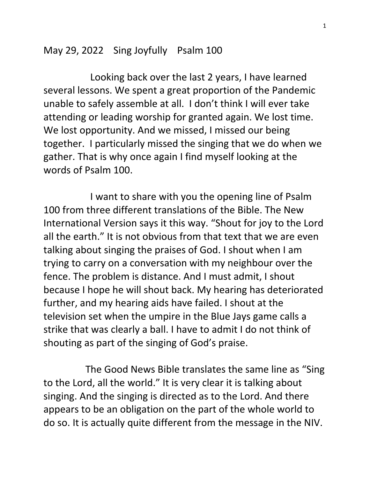May 29, 2022 Sing Joyfully Psalm 100

 Looking back over the last 2 years, I have learned several lessons. We spent a great proportion of the Pandemic unable to safely assemble at all. I don't think I will ever take attending or leading worship for granted again. We lost time. We lost opportunity. And we missed, I missed our being together. I particularly missed the singing that we do when we gather. That is why once again I find myself looking at the words of Psalm 100.

 I want to share with you the opening line of Psalm 100 from three different translations of the Bible. The New International Version says it this way. "Shout for joy to the Lord all the earth." It is not obvious from that text that we are even talking about singing the praises of God. I shout when I am trying to carry on a conversation with my neighbour over the fence. The problem is distance. And I must admit, I shout because I hope he will shout back. My hearing has deteriorated further, and my hearing aids have failed. I shout at the television set when the umpire in the Blue Jays game calls a strike that was clearly a ball. I have to admit I do not think of shouting as part of the singing of God's praise.

 The Good News Bible translates the same line as "Sing to the Lord, all the world." It is very clear it is talking about singing. And the singing is directed as to the Lord. And there appears to be an obligation on the part of the whole world to do so. It is actually quite different from the message in the NIV.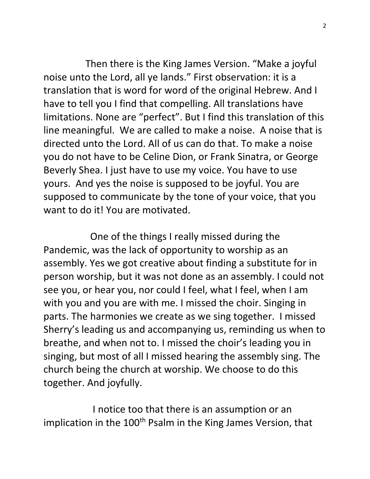Then there is the King James Version. "Make a joyful noise unto the Lord, all ye lands." First observation: it is a translation that is word for word of the original Hebrew. And I have to tell you I find that compelling. All translations have limitations. None are "perfect". But I find this translation of this line meaningful. We are called to make a noise. A noise that is directed unto the Lord. All of us can do that. To make a noise you do not have to be Celine Dion, or Frank Sinatra, or George Beverly Shea. I just have to use my voice. You have to use yours. And yes the noise is supposed to be joyful. You are supposed to communicate by the tone of your voice, that you want to do it! You are motivated.

 One of the things I really missed during the Pandemic, was the lack of opportunity to worship as an assembly. Yes we got creative about finding a substitute for in person worship, but it was not done as an assembly. I could not see you, or hear you, nor could I feel, what I feel, when I am with you and you are with me. I missed the choir. Singing in parts. The harmonies we create as we sing together. I missed Sherry's leading us and accompanying us, reminding us when to breathe, and when not to. I missed the choir's leading you in singing, but most of all I missed hearing the assembly sing. The church being the church at worship. We choose to do this together. And joyfully.

 I notice too that there is an assumption or an implication in the 100<sup>th</sup> Psalm in the King James Version, that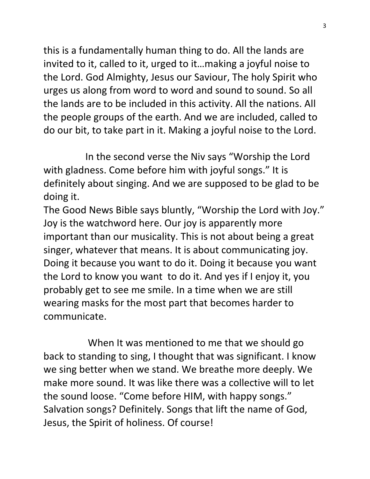this is a fundamentally human thing to do. All the lands are invited to it, called to it, urged to it…making a joyful noise to the Lord. God Almighty, Jesus our Saviour, The holy Spirit who urges us along from word to word and sound to sound. So all the lands are to be included in this activity. All the nations. All the people groups of the earth. And we are included, called to do our bit, to take part in it. Making a joyful noise to the Lord.

 In the second verse the Niv says "Worship the Lord with gladness. Come before him with joyful songs." It is definitely about singing. And we are supposed to be glad to be doing it.

The Good News Bible says bluntly, "Worship the Lord with Joy." Joy is the watchword here. Our joy is apparently more important than our musicality. This is not about being a great singer, whatever that means. It is about communicating joy. Doing it because you want to do it. Doing it because you want the Lord to know you want to do it. And yes if I enjoy it, you probably get to see me smile. In a time when we are still wearing masks for the most part that becomes harder to communicate.

 When It was mentioned to me that we should go back to standing to sing, I thought that was significant. I know we sing better when we stand. We breathe more deeply. We make more sound. It was like there was a collective will to let the sound loose. "Come before HIM, with happy songs." Salvation songs? Definitely. Songs that lift the name of God, Jesus, the Spirit of holiness. Of course!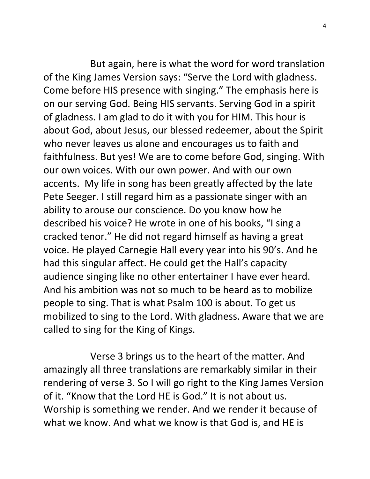But again, here is what the word for word translation of the King James Version says: "Serve the Lord with gladness. Come before HIS presence with singing." The emphasis here is on our serving God. Being HIS servants. Serving God in a spirit of gladness. I am glad to do it with you for HIM. This hour is about God, about Jesus, our blessed redeemer, about the Spirit who never leaves us alone and encourages us to faith and faithfulness. But yes! We are to come before God, singing. With our own voices. With our own power. And with our own accents. My life in song has been greatly affected by the late Pete Seeger. I still regard him as a passionate singer with an ability to arouse our conscience. Do you know how he described his voice? He wrote in one of his books, "I sing a cracked tenor." He did not regard himself as having a great voice. He played Carnegie Hall every year into his 90's. And he had this singular affect. He could get the Hall's capacity audience singing like no other entertainer I have ever heard. And his ambition was not so much to be heard as to mobilize people to sing. That is what Psalm 100 is about. To get us mobilized to sing to the Lord. With gladness. Aware that we are called to sing for the King of Kings.

 Verse 3 brings us to the heart of the matter. And amazingly all three translations are remarkably similar in their rendering of verse 3. So I will go right to the King James Version of it. "Know that the Lord HE is God." It is not about us. Worship is something we render. And we render it because of what we know. And what we know is that God is, and HE is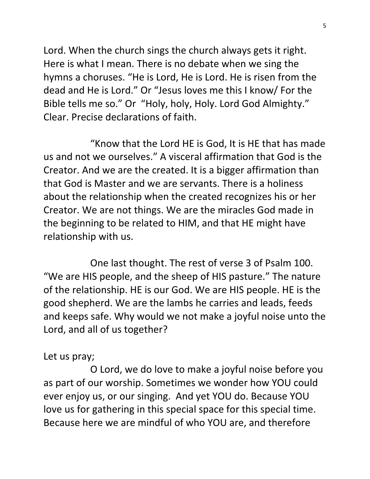Lord. When the church sings the church always gets it right. Here is what I mean. There is no debate when we sing the hymns a choruses. "He is Lord, He is Lord. He is risen from the dead and He is Lord." Or "Jesus loves me this I know/ For the Bible tells me so." Or "Holy, holy, Holy. Lord God Almighty." Clear. Precise declarations of faith.

 "Know that the Lord HE is God, It is HE that has made us and not we ourselves." A visceral affirmation that God is the Creator. And we are the created. It is a bigger affirmation than that God is Master and we are servants. There is a holiness about the relationship when the created recognizes his or her Creator. We are not things. We are the miracles God made in the beginning to be related to HIM, and that HE might have relationship with us.

 One last thought. The rest of verse 3 of Psalm 100. "We are HIS people, and the sheep of HIS pasture." The nature of the relationship. HE is our God. We are HIS people. HE is the good shepherd. We are the lambs he carries and leads, feeds and keeps safe. Why would we not make a joyful noise unto the Lord, and all of us together?

## Let us pray;

 O Lord, we do love to make a joyful noise before you as part of our worship. Sometimes we wonder how YOU could ever enjoy us, or our singing. And yet YOU do. Because YOU love us for gathering in this special space for this special time. Because here we are mindful of who YOU are, and therefore